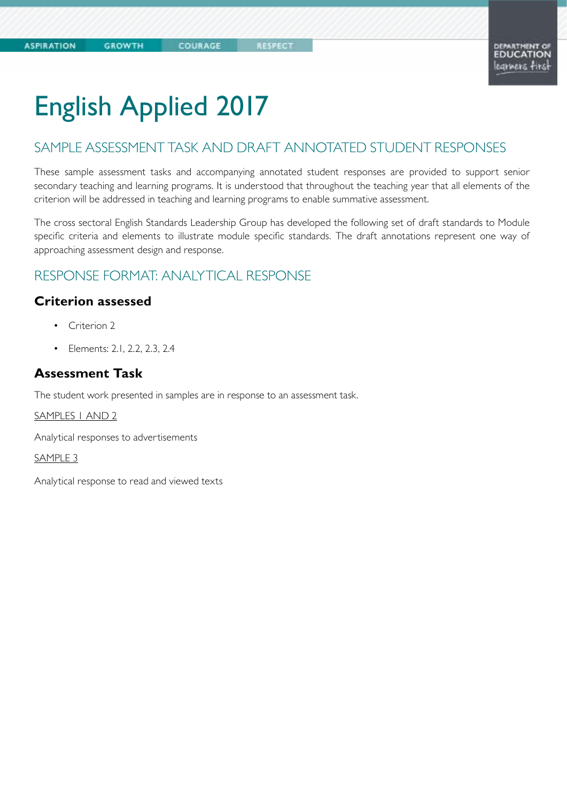# English Applied 2017

COURAGE

## SAMPLE ASSESSMENT TASK AND DRAFT ANNOTATED STUDENT RESPONSES

These sample assessment tasks and accompanying annotated student responses are provided to support senior secondary teaching and learning programs. It is understood that throughout the teaching year that all elements of the criterion will be addressed in teaching and learning programs to enable summative assessment.

The cross sectoral English Standards Leadership Group has developed the following set of draft standards to Module specific criteria and elements to illustrate module specific standards. The draft annotations represent one way of approaching assessment design and response.

### RESPONSE FORMAT: ANALYTICAL RESPONSE

### **Criterion assessed**

- Criterion 2
- Elements: 2.1, 2.2, 2.3, 2.4

### **Assessment Task**

The student work presented in samples are in response to an assessment task.

SAMPLES 1 AND 2

Analytical responses to advertisements

SAMPLE 3

Analytical response to read and viewed texts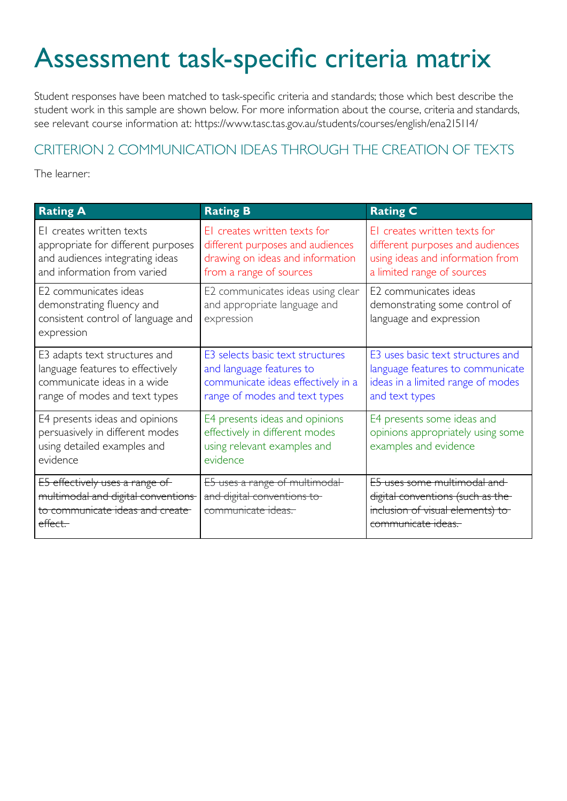# Assessment task-specific criteria matrix

Student responses have been matched to task-specific criteria and standards; those which best describe the student work in this sample are shown below. For more information about the course, criteria and standards, see relevant course information at: https://www.tasc.tas.gov.au/students/courses/english/ena215114/

## CRITERION 2 COMMUNICATION IDEAS THROUGH THE CREATION OF TEXTS

The learner:

| <b>Rating A</b>                                                                                                                   | <b>Rating B</b>                                                                                                                     | <b>Rating C</b>                                                                                                                    |
|-----------------------------------------------------------------------------------------------------------------------------------|-------------------------------------------------------------------------------------------------------------------------------------|------------------------------------------------------------------------------------------------------------------------------------|
| El creates written texts<br>appropriate for different purposes<br>and audiences integrating ideas<br>and information from varied  | El creates written texts for<br>different purposes and audiences<br>drawing on ideas and information<br>from a range of sources     | El creates written texts for<br>different purposes and audiences<br>using ideas and information from<br>a limited range of sources |
| E2 communicates ideas<br>demonstrating fluency and<br>consistent control of language and<br>expression                            | E2 communicates ideas using clear<br>and appropriate language and<br>expression                                                     | E2 communicates ideas<br>demonstrating some control of<br>language and expression                                                  |
| E3 adapts text structures and<br>language features to effectively<br>communicate ideas in a wide<br>range of modes and text types | E3 selects basic text structures<br>and language features to<br>communicate ideas effectively in a<br>range of modes and text types | E3 uses basic text structures and<br>language features to communicate<br>ideas in a limited range of modes<br>and text types       |
| E4 presents ideas and opinions<br>persuasively in different modes<br>using detailed examples and<br>evidence                      | E4 presents ideas and opinions<br>effectively in different modes<br>using relevant examples and<br>evidence                         | E4 presents some ideas and<br>opinions appropriately using some<br>examples and evidence                                           |
| E5 effectively uses a range of<br>multimodal and digital conventions<br>to communicate ideas and create<br><del>effect.</del>     | E5 uses a range of multimodal<br>and digital conventions to<br>communicate ideas.                                                   | E5 uses some multimodal and<br>digital conventions (such as the<br>inclusion of visual elements) to<br>communicate ideas.          |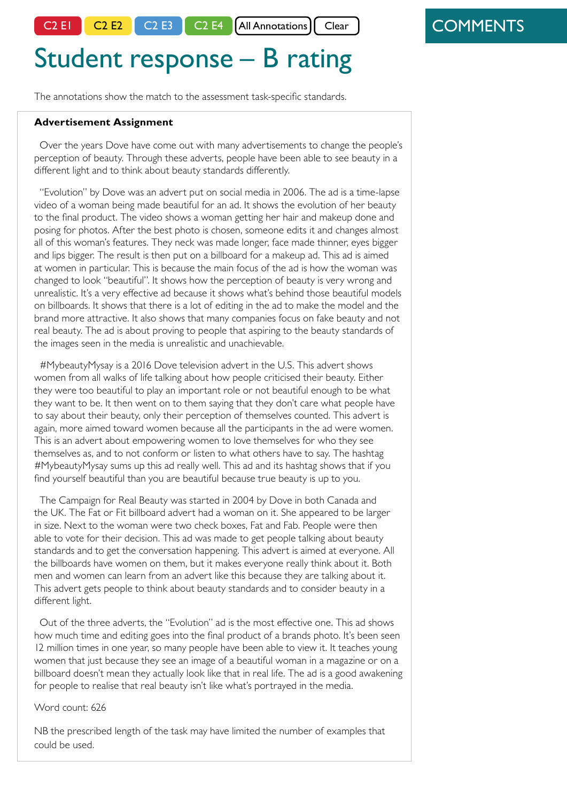C2 E1  $\begin{bmatrix} C2 & E2 \end{bmatrix}$  C2 E3  $\begin{bmatrix} C2 & E4 \end{bmatrix}$  All Annotations  $\begin{bmatrix} Cear \end{bmatrix}$ 

# Student response – B rating

The annotations show the match to the assessment task-specific standards.

#### **Advertisement Assignment**

Over the years Dove have come out with many advertisements to change the people's perception of beauty. Through these adverts, people have been able to see beauty in a different light and to think about beauty standards differently.

 "Evolution" by Dove was an advert put on social media in 2006. The ad is a time-lapse video of a woman being made beautiful for an ad. It shows the evolution of her beauty to the final product. The video shows a woman getting her hair and makeup done and posing for photos. After the best photo is chosen, someone edits it and changes almost all of this woman's features. They neck was made longer, face made thinner, eyes bigger and lips bigger. The result is then put on a billboard for a makeup ad. This ad is aimed at women in particular. This is because the main focus of the ad is how the woman was changed to look "beautiful". It shows how the perception of beauty is very wrong and unrealistic. It's a very effective ad because it shows what's behind those beautiful models on billboards. It shows that there is a lot of editing in the ad to make the model and the brand more attractive. It also shows that many companies focus on fake beauty and not real beauty. The ad is about proving to people that aspiring to the beauty standards of the images seen in the media is unrealistic and unachievable.

#MybeautyMysay is a 2016 Dove television advert in the U.S. This advert shows women from all walks of life talking about how people criticised their beauty. Either they were too beautiful to play an important role or not beautiful enough to be what they want to be. It then went on to them saying that they don't care what people have to say about their beauty, only their perception of themselves counted. This advert is again, more aimed toward women because all the participants in the ad were women. This is an advert about empowering women to love themselves for who they see themselves as, and to not conform or listen to what others have to say. The hashtag #MybeautyMysay sums up this ad really well. This ad and its hashtag shows that if you find yourself beautiful than you are beautiful because true beauty is up to you.

The Campaign for Real Beauty was started in 2004 by Dove in both Canada and the UK. The Fat or Fit billboard advert had a woman on it. She appeared to be larger in size. Next to the woman were two check boxes, Fat and Fab. People were then able to vote for their decision. This ad was made to get people talking about beauty standards and to get the conversation happening. This advert is aimed at everyone. All the billboards have women on them, but it makes everyone really think about it. Both men and women can learn from an advert like this because they are talking about it. This advert gets people to think about beauty standards and to consider beauty in a different light.

 Out of the three adverts, the "Evolution" ad is the most effective one. This ad shows how much time and editing goes into the final product of a brands photo. It's been seen 12 million times in one year, so many people have been able to view it. It teaches young women that just because they see an image of a beautiful woman in a magazine or on a billboard doesn't mean they actually look like that in real life. The ad is a good awakening for people to realise that real beauty isn't like what's portrayed in the media.

#### Word count: 626

NB the prescribed length of the task may have limited the number of examples that could be used.

## **COMMENTS**

C2 E1 –(uses) ideas and information from a range of sources \* \* \*

Main ideas are clearly articulated. Three advertisements are indicated (NB the same number as in Sample 1 and as prescribed by the task)

C2 E2 – clear and appropriate language and expression \* \* \*

Control of language and expression is mostly evident. Mostly appropriate vocabulary is used; Occasional lapse into basic phrasing eg 'a lot of' . Occasional syntactical and punctuation errors. (some examples are hlighlighted)

C2 E3 – uses text structures and language features to communicate ideas effectively \* \* \*

Opening sentence introduces the task and encapsulates the focus of the analysis. The introduction identifies the key idea and introduces the following analysis.

Thereafter three paragraphs each feature topic sentences that identify the three advertisements under discussion. Each paragraph identifies features of the advertisement and comments on their effect in relation to their purpose and intended audience.

The concluding paragraph evidences a brief summary of the discussion and draws a conclusion.

C2 E4 – presents ideas and opinions effectively . . . using relevant examples and evidence.

Examples and evidence are paragraphs. Limited examples identify advertising techniques. Inconsistent attention is given to the effect of the examples cited. This element is addressed in the C range in terms of appropriately using some examples and evidence.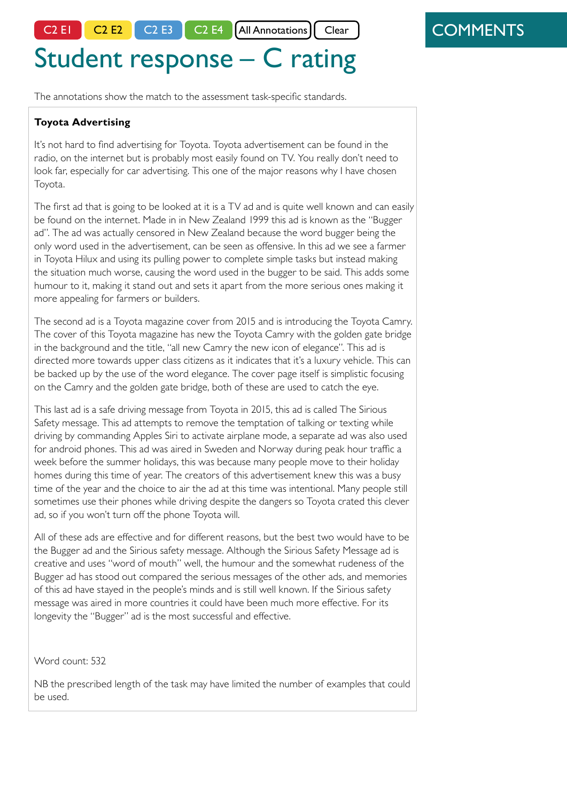C2 E1 C2 E2 C2 E3 C2 E4 All Annotations

# Student response – C rating

The annotations show the match to the assessment task-specific standards.

### **Toyota Advertising**

It's not hard to find advertising for Toyota. Toyota advertisement can be found in the radio, on the internet but is probably most easily found on TV. You really don't need to look far, especially for car advertising. This one of the major reasons why I have chosen Toyota.

The first ad that is going to be looked at it is a TV ad and is quite well known and can easily be found on the internet. Made in in New Zealand 1999 this ad is known as the "Bugger ad". The ad was actually censored in New Zealand because the word bugger being the only word used in the advertisement, can be seen as offensive. In this ad we see a farmer in Toyota Hilux and using its pulling power to complete simple tasks but instead making the situation much worse, causing the word used in the bugger to be said. This adds some humour to it, making it stand out and sets it apart from the more serious ones making it more appealing for farmers or builders.

The second ad is a Toyota magazine cover from 2015 and is introducing the Toyota Camry. The cover of this Toyota magazine has new the Toyota Camry with the golden gate bridge in the background and the title, "all new Camry the new icon of elegance". This ad is directed more towards upper class citizens as it indicates that it's a luxury vehicle. This can be backed up by the use of the word elegance. The cover page itself is simplistic focusing on the Camry and the golden gate bridge, both of these are used to catch the eye.

This last ad is a safe driving message from Toyota in 2015, this ad is called The Sirious Safety message. This ad attempts to remove the temptation of talking or texting while driving by commanding Apples Siri to activate airplane mode, a separate ad was also used for android phones. This ad was aired in Sweden and Norway during peak hour traffic a week before the summer holidays, this was because many people move to their holiday homes during this time of year. The creators of this advertisement knew this was a busy time of the year and the choice to air the ad at this time was intentional. Many people still sometimes use their phones while driving despite the dangers so Toyota crated this clever ad, so if you won't turn off the phone Toyota will.

All of these ads are effective and for different reasons, but the best two would have to be the Bugger ad and the Sirious safety message. Although the Sirious Safety Message ad is creative and uses "word of mouth" well, the humour and the somewhat rudeness of the Bugger ad has stood out compared the serious messages of the other ads, and memories of this ad have stayed in the people's minds and is still well known. If the Sirious safety message was aired in more countries it could have been much more effective. For its longevity the "Bugger" ad is the most successful and effective.

Word count: 532

NB the prescribed length of the task may have limited the number of examples that could be used.

## **COMMENTS**

### C2 E1 – uses ideas and

information from a limited range of sources \* \* \*

Main ideas are clearly articulated. Three advertisements are indicated

C2 E2 – some control of language and expression

\* \* \*

Some control of language and expression is evident. A more formal analytical tone is needed. Inconsistent accuracy. This includes some syntactical and punctuation errors, misspelling, and certain vocabulary choices. (some examples are bolded).

C2 E3 – uses text structures and language features to communicate ideas

Opening sentence introduces the task and identifies the focus of the analysis. The introduction does identify the subject of the advertisements but does not identify the key themes. Limited following analysis. The emphasis is on audience appeal rather than on discussing ideas.

Thereafter three paragraphs each feature topic sentences identifying discussion. Each paragraph makes reference to minimal evidence from the advertisement supporting the thesis of the discussion. Limited use of correct sentence structure.

The concluding paragraph evidences a brief summary of the discussion and draws a conclusion.

### C2 E4 – presents some ideas, examples and evidence

Examples and evidence are used in each of the three paragraphs. Limited examples identify advertising techniques and give evidence. Some attention is given to the effect of the examples cited. The focus is upon explaining rather than analyzing.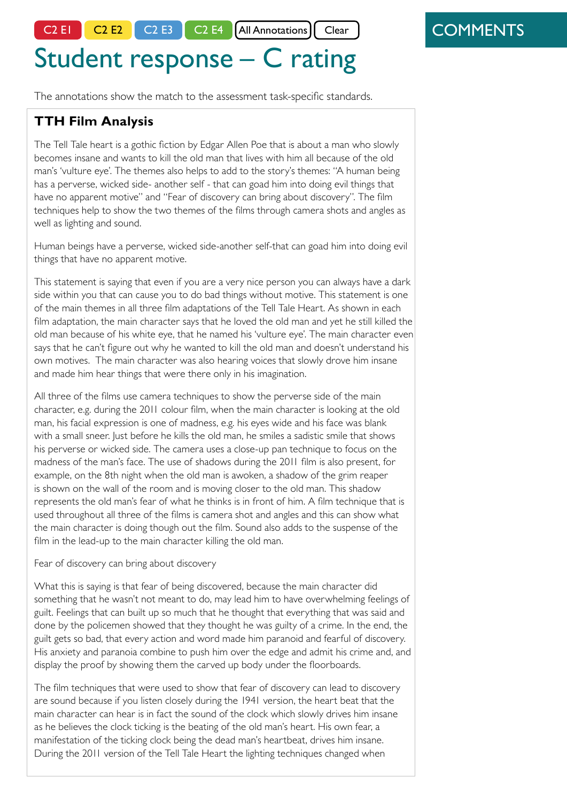C2 E1 C2 E2 C2 E3 C2 E4 All Annotations

# Student response – C rating

The annotations show the match to the assessment task-specific standards.

## **TTH Film Analysis**

The Tell Tale heart is a gothic fiction by Edgar Allen Poe that is about a man who slowly becomes insane and wants to kill the old man that lives with him all because of the old man's 'vulture eye'. The themes also helps to add to the story's themes: "A human being has a perverse, wicked side- another self - that can goad him into doing evil things that have no apparent motive" and "Fear of discovery can bring about discovery". The film techniques help to show the two themes of the films through camera shots and angles as well as lighting and sound.

Human beings have a perverse, wicked side-another self-that can goad him into doing evil things that have no apparent motive.

This statement is saying that even if you are a very nice person you can always have a dark side within you that can cause you to do bad things without motive. This statement is one of the main themes in all three film adaptations of the Tell Tale Heart. As shown in each film adaptation, the main character says that he loved the old man and yet he still killed the old man because of his white eye, that he named his 'vulture eye'. The main character even says that he can't figure out why he wanted to kill the old man and doesn't understand his own motives. The main character was also hearing voices that slowly drove him insane and made him hear things that were there only in his imagination.

All three of the films use camera techniques to show the perverse side of the main character, e.g. during the 2011 colour film, when the main character is looking at the old man, his facial expression is one of madness, e.g. his eyes wide and his face was blank with a small sneer. Just before he kills the old man, he smiles a sadistic smile that shows his perverse or wicked side. The camera uses a close-up pan technique to focus on the madness of the man's face. The use of shadows during the 2011 film is also present, for example, on the 8th night when the old man is awoken, a shadow of the grim reaper is shown on the wall of the room and is moving closer to the old man. This shadow represents the old man's fear of what he thinks is in front of him. A film technique that is used throughout all three of the films is camera shot and angles and this can show what the main character is doing though out the film. Sound also adds to the suspense of the film in the lead-up to the main character killing the old man.

#### Fear of discovery can bring about discovery

What this is saying is that fear of being discovered, because the main character did something that he wasn't not meant to do, may lead him to have overwhelming feelings of guilt. Feelings that can built up so much that he thought that everything that was said and done by the policemen showed that they thought he was guilty of a crime. In the end, the guilt gets so bad, that every action and word made him paranoid and fearful of discovery. His anxiety and paranoia combine to push him over the edge and admit his crime and, and display the proof by showing them the carved up body under the floorboards.

The film techniques that were used to show that fear of discovery can lead to discovery are sound because if you listen closely during the 1941 version, the heart beat that the main character can hear is in fact the sound of the clock which slowly drives him insane as he believes the clock ticking is the beating of the old man's heart. His own fear, a manifestation of the ticking clock being the dead man's heartbeat, drives him insane. During the 2011 version of the Tell Tale Heart the lighting techniques changed when

## **COMMENTS**

#### C2 E1 – uses ideas and information from a limited range of sources

#### \* \* \*

Main ideas are clearly articulated. Three films are indicated. To only two of those is limited reference made for the purposes of examples and evidence. Even attention to texts is not evident in the discussion. Text titles need to be referred to as part of discussing the evidence.

C2 E2 – some control of language and expression \* \* \*

Limited control of language and expression is evident. The discussion is punctuated by runon sentences that lack control. This includes syntactical and punctuation errors and misspelling, Certain vocabulary choices are incorrect. (some examples are bolded)

C2 E3 – uses text structures and language features to communicate ideas

Opening sentence introduces the text title and encapsulates the narrative focus. The introduction identifies the key themes and attempts to set up the following analysis. A persuasive tone is needed.

Thereafter TWO key topic sentences representing the key themes are expressed as stand-alone items rather than as topic sentences for a paragraph. The two main sections of the discussion are logically structured but evidencing only some control of expression. Paragraphs conclude with an example rather than with analysis of the example. Sub-headings are used inappropriately.

The concluding paragraph evidences a brief summary of sentence. The final sentence effectively uses the semi-colon, avoiding the run-on effect.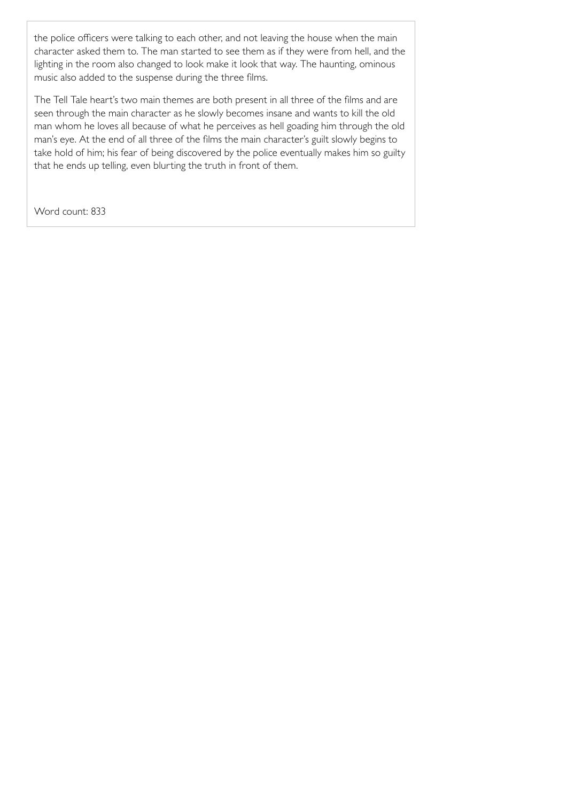the police officers were talking to each other, and not leaving the house when the main character asked them to. The man started to see them as if they were from hell, and the lighting in the room also changed to look make it look that way. The haunting, ominous music also added to the suspense during the three films.

The Tell Tale heart's two main themes are both present in all three of the films and are seen through the main character as he slowly becomes insane and wants to kill the old man whom he loves all because of what he perceives as hell goading him through the old man's eye. At the end of all three of the films the main character's guilt slowly begins to take hold of him; his fear of being discovered by the police eventually makes him so guilty that he ends up telling, even blurting the truth in front of them.

Word count: 833

# C2 E4 – presents some ideas,

Examples and evidence are used on each of the two discussion sections. Film techniques, and examples, are identified. Inconsistent attention is given to Some of the discussion indicates a potential B rating for this is given to the narrative context of an example. Attention to the structure and sequence of the film is limited to the concluding